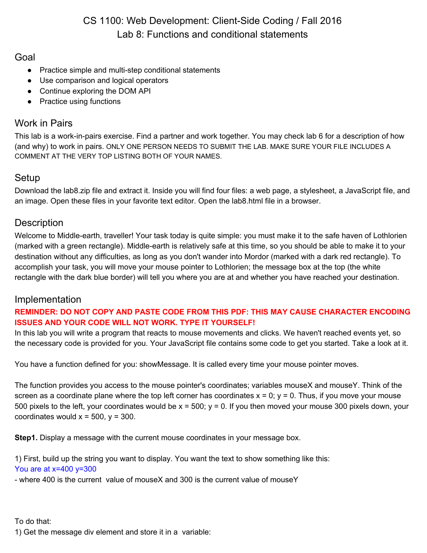# CS 1100: Web Development: Client-Side Coding / Fall 2016 Lab 8: Functions and conditional statements

### Goal

- Practice simple and multi-step conditional statements
- Use comparison and logical operators
- Continue exploring the DOM API
- Practice using functions

# Work in Pairs

This lab is a work-in-pairs exercise. Find a partner and work together. You may check lab 6 for a description of how (and why) to work in pairs. ONLY ONE PERSON NEEDS TO SUBMIT THE LAB. MAKE SURE YOUR FILE INCLUDES A COMMENT AT THE VERY TOP LISTING BOTH OF YOUR NAMES.

# Setup

Download the lab8.zip file and extract it. Inside you will find four files: a web page, a stylesheet, a JavaScript file, and an image. Open these files in your favorite text editor. Open the lab8.html file in a browser.

## **Description**

Welcome to Middle-earth, traveller! Your task today is quite simple: you must make it to the safe haven of Lothlorien (marked with a green rectangle). Middle-earth is relatively safe at this time, so you should be able to make it to your destination without any difficulties, as long as you don't wander into Mordor (marked with a dark red rectangle). To accomplish your task, you will move your mouse pointer to Lothlorien; the message box at the top (the white rectangle with the dark blue border) will tell you where you are at and whether you have reached your destination.

### Implementation

#### **REMINDER: DO NOT COPY AND PASTE CODE FROM THIS PDF: THIS MAY CAUSE CHARACTER ENCODING ISSUES AND YOUR CODE WILL NOT WORK. TYPE IT YOURSELF!**

In this lab you will write a program that reacts to mouse movements and clicks. We haven't reached events yet, so the necessary code is provided for you. Your JavaScript file contains some code to get you started. Take a look at it.

You have a function defined for you: showMessage. It is called every time your mouse pointer moves.

The function provides you access to the mouse pointer's coordinates; variables mouseX and mouseY. Think of the screen as a coordinate plane where the top left corner has coordinates  $x = 0$ ;  $y = 0$ . Thus, if you move your mouse 500 pixels to the left, your coordinates would be  $x = 500$ ;  $y = 0$ . If you then moved your mouse 300 pixels down, your coordinates would  $x = 500$ ,  $y = 300$ .

**Step1.** Display a message with the current mouse coordinates in your message box.

1) First, build up the string you want to display. You want the text to show something like this: You are at  $x=400$   $y=300$ 

- where 400 is the current value of mouseX and 300 is the current value of mouseY

#### To do that:

1) Get the message div element and store it in a variable: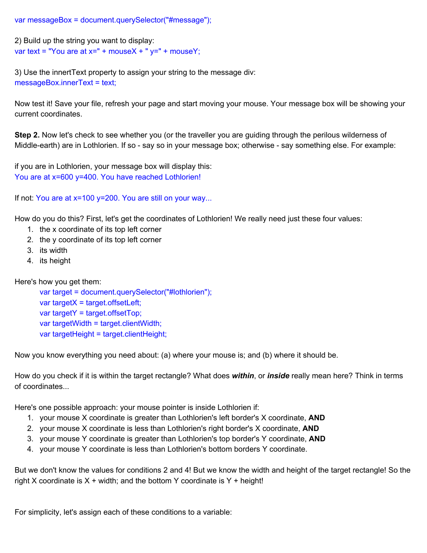var messageBox = document.querySelector("#message");

```
2) Build up the string you want to display:
var text = "You are at x=" + mouseX + "y=" + mouseY;
```
3) Use the innertText property to assign your string to the message div: messageBox.innerText = text;

Now test it! Save your file, refresh your page and start moving your mouse. Your message box will be showing your current coordinates.

**Step 2.** Now let's check to see whether you (or the traveller you are guiding through the perilous wilderness of Middle-earth) are in Lothlorien. If so - say so in your message box; otherwise - say something else. For example:

if you are in Lothlorien, your message box will display this: You are at x=600 y=400. You have reached Lothlorien!

If not: You are at x=100 y=200. You are still on your way...

How do you do this? First, let's get the coordinates of Lothlorien! We really need just these four values:

- 1. the x coordinate of its top left corner
- 2. the y coordinate of its top left corner
- 3. its width
- 4. its height

Here's how you get them:

var target = document.querySelector("#lothlorien");  $var targetX = target.$ offsetLeft; var targetY = target.offsetTop; var targetWidth = target.clientWidth; var targetHeight = target.clientHeight;

Now you know everything you need about: (a) where your mouse is; and (b) where it should be.

How do you check if it is within the target rectangle? What does within, or *inside* really mean here? Think in terms of coordinates...

Here's one possible approach: your mouse pointer is inside Lothlorien if:

- 1. your mouse X coordinate is greater than Lothlorien's left border's X coordinate, **AND**
- 2. your mouse X coordinate is less than Lothlorien's right border's X coordinate, **AND**
- 3. your mouse Y coordinate is greater than Lothlorien's top border's Y coordinate, **AND**
- 4. your mouse Y coordinate is less than Lothlorien's bottom borders Y coordinate.

But we don't know the values for conditions 2 and 4! But we know the width and height of the target rectangle! So the right X coordinate is  $X + \text{width}$ ; and the bottom Y coordinate is Y + height!

For simplicity, let's assign each of these conditions to a variable: